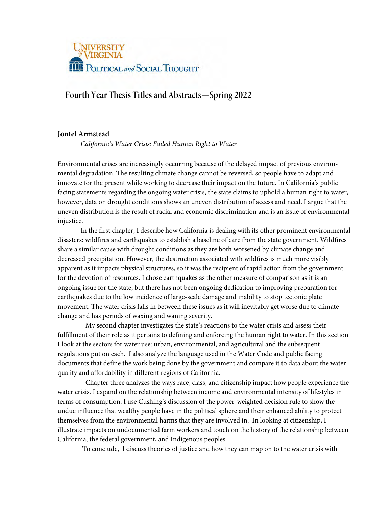

# **Fourth Year Thesis Titles and Abstracts—Spring 2022**

# **Jontel Armstead**

*California's Water Crisis: Failed Human Right to Water* 

Environmental crises are increasingly occurring because of the delayed impact of previous environmental degradation. The resulting climate change cannot be reversed, so people have to adapt and innovate for the present while working to decrease their impact on the future. In California's public facing statements regarding the ongoing water crisis, the state claims to uphold a human right to water, however, data on drought conditions shows an uneven distribution of access and need. I argue that the uneven distribution is the result of racial and economic discrimination and is an issue of environmental injustice.

In the first chapter, I describe how California is dealing with its other prominent environmental disasters: wildfires and earthquakes to establish a baseline of care from the state government. Wildfires share a similar cause with drought conditions as they are both worsened by climate change and decreased precipitation. However, the destruction associated with wildfires is much more visibly apparent as it impacts physical structures, so it was the recipient of rapid action from the government for the devotion of resources. I chose earthquakes as the other measure of comparison as it is an ongoing issue for the state, but there has not been ongoing dedication to improving preparation for earthquakes due to the low incidence of large-scale damage and inability to stop tectonic plate movement. The water crisis falls in between these issues as it will inevitably get worse due to climate change and has periods of waxing and waning severity.

 My second chapter investigates the state's reactions to the water crisis and assess their fulfillment of their role as it pertains to defining and enforcing the human right to water. In this section I look at the sectors for water use: urban, environmental, and agricultural and the subsequent regulations put on each. I also analyze the language used in the Water Code and public facing documents that define the work being done by the government and compare it to data about the water quality and affordability in different regions of California.

 Chapter three analyzes the ways race, class, and citizenship impact how people experience the water crisis. I expand on the relationship between income and environmental intensity of lifestyles in terms of consumption. I use Cushing's discussion of the power-weighted decision rule to show the undue influence that wealthy people have in the political sphere and their enhanced ability to protect themselves from the environmental harms that they are involved in. In looking at citizenship, I illustrate impacts on undocumented farm workers and touch on the history of the relationship between California, the federal government, and Indigenous peoples.

To conclude, I discuss theories of justice and how they can map on to the water crisis with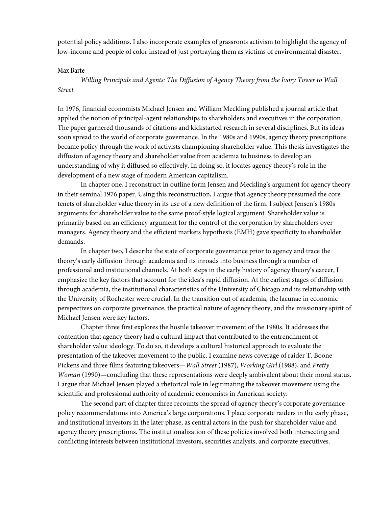potential policy additions. I also incorporate examples of grassroots activism to highlight the agency of low-income and people of color instead of just portraying them as victims of environmental disaster.

#### **Max Barte**

*Willing Principals and Agents: The Diffusion of Agency Theory from the Ivory Tower to Wall Street* 

In 1976, financial economists Michael Jensen and William Meckling published a journal article that applied the notion of principal-agent relationships to shareholders and executives in the corporation. The paper garnered thousands of citations and kickstarted research in several disciplines. But its ideas soon spread to the world of corporate governance. In the 1980s and 1990s, agency theory prescriptions became policy through the work of activists championing shareholder value. This thesis investigates the diffusion of agency theory and shareholder value from academia to business to develop an understanding of why it diffused so effectively. In doing so, it locates agency theory's role in the development of a new stage of modern American capitalism.

In chapter one, I reconstruct in outline form Jensen and Meckling's argument for agency theory in their seminal 1976 paper. Using this reconstruction, I argue that agency theory presumed the core tenets of shareholder value theory in its use of a new definition of the firm. I subject Jensen's 1980s arguments for shareholder value to the same proof-style logical argument. Shareholder value is primarily based on an efficiency argument for the control of the corporation by shareholders over managers. Agency theory and the efficient markets hypothesis (EMH) gave specificity to shareholder demands.

In chapter two, I describe the state of corporate governance prior to agency and trace the theory's early diffusion through academia and its inroads into business through a number of professional and institutional channels. At both steps in the early history of agency theory's career, I emphasize the key factors that account for the idea's rapid diffusion. At the earliest stages of diffusion through academia, the institutional characteristics of the University of Chicago and its relationship with the University of Rochester were crucial. In the transition out of academia, the lacunae in economic perspectives on corporate governance, the practical nature of agency theory, and the missionary spirit of Michael Jensen were key factors.

Chapter three first explores the hostile takeover movement of the 1980s. It addresses the contention that agency theory had a cultural impact that contributed to the entrenchment of shareholder value ideology. To do so, it develops a cultural historical approach to evaluate the presentation of the takeover movement to the public. I examine news coverage of raider T. Boone Pickens and three films featuring takeovers—*Wall Street* (1987), *Working Girl* (1988), and *Pretty Woman* (1990)—concluding that these representations were deeply ambivalent about their moral status. I argue that Michael Jensen played a rhetorical role in legitimating the takeover movement using the scientific and professional authority of academic economists in American society.

The second part of chapter three recounts the spread of agency theory's corporate governance policy recommendations into America's large corporations. I place corporate raiders in the early phase, and institutional investors in the later phase, as central actors in the push for shareholder value and agency theory prescriptions. The institutionalization of these policies involved both intersecting and conflicting interests between institutional investors, securities analysts, and corporate executives.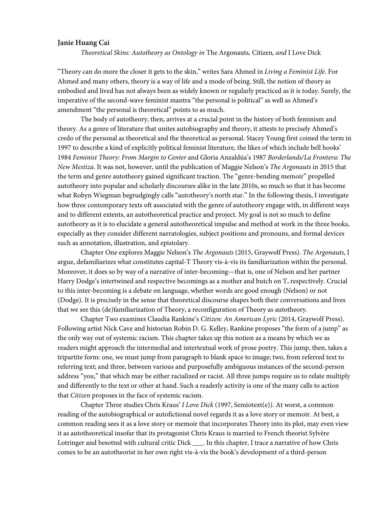## **Janie Huang Cai**

*Theoretical Skins: Autotheory as Ontology in* The Argonauts*,* Citizen*, and* I Love Dick

"Theory can do more the closer it gets to the skin," writes Sara Ahmed in *Living a Feminist Life*. For Ahmed and many others, theory is a way of life and a mode of being. Still, the notion of theory as embodied and lived has not always been as widely known or regularly practiced as it is today. Surely, the imperative of the second-wave feminist mantra "the personal is political" as well as Ahmed's amendment "the personal is theoretical" points to as much.

The body of autotheory, then, arrives at a crucial point in the history of both feminism and theory. As a genre of literature that unites autobiography and theory, it attests to precisely Ahmed's credo of the personal as theoretical and the theoretical as personal. Stacey Young first coined the term in 1997 to describe a kind of explicitly political feminist literature, the likes of which include bell hooks' 1984 *Feminist Theory: From Margin to Center* and Gloria Anzaldúa's 1987 *Borderlands/La Frontera: The New Mestiza*. It was not, however, until the publication of Maggie Nelson's *The Argonauts* in 2015 that the term and genre autotheory gained significant traction. The "genre-bending memoir" propelled autotheory into popular and scholarly discourses alike in the late 2010s, so much so that it has become what Robyn Wiegman begrudgingly calls "autotheory's north star." In the following thesis, I investigate how three contemporary texts oft associated with the genre of autotheory engage with, in different ways and to different extents, an autotheoretical practice and project. My goal is not so much to define autotheory as it is to elucidate a general autotheoretical impulse and method at work in the three books, especially as they consider different narratologies, subject positions and pronouns, and formal devices such as annotation, illustration, and epistolary.

Chapter One explores Maggie Nelson's *The Argonauts* (2015, Graywolf Press). *The Argonauts*, I argue, defamiliarizes what constitutes capital-T Theory vis-à-vis its familiarization within the personal. Moreover, it does so by way of a narrative of inter-becoming—that is, one of Nelson and her partner Harry Dodge's intertwined and respective becomings as a mother and butch on T, respectively. Crucial to this inter-becoming is a debate on language, whether words are good enough (Nelson) or not (Dodge). It is precisely in the sense that theoretical discourse shapes both their conversations and lives that we see this (de)familiarization of Theory, a reconfiguration of Theory as autotheory.

Chapter Two examines Claudia Rankine's *Citizen: An American Lyric* (2014, Graywolf Press). Following artist Nick Cave and historian Robin D. G. Kelley, Rankine proposes "the form of a jump" as the only way out of systemic racism. This chapter takes up this notion as a means by which we as readers might approach the intermedial and intertextual work of prose poetry. This jump, then, takes a tripartite form: one, we must jump from paragraph to blank space to image; two, from referred text to referring text; and three, between various and purposefully ambiguous instances of the second-person address "you," that which may be either racialized or racist. All three jumps require us to relate multiply and differently to the text or other at hand. Such a readerly activity is one of the many calls to action that *Citizen* proposes in the face of systemic racism.

Chapter Three studies Chris Kraus' *I Love Dick* (1997, Semiotext(e)). At worst, a common reading of the autobiographical or autofictional novel regards it as a love story or memoir. At best, a common reading sees it as a love story or memoir that incorporates Theory into its plot, may even view it as autotheoretical insofar that its protagonist Chris Kraus is married to French theorist Sylvère Lotringer and besotted with cultural critic Dick \_\_\_\_. In this chapter, I trace a narrative of how Chris comes to be an autotheorist in her own right vis-à-vis the book's development of a third-person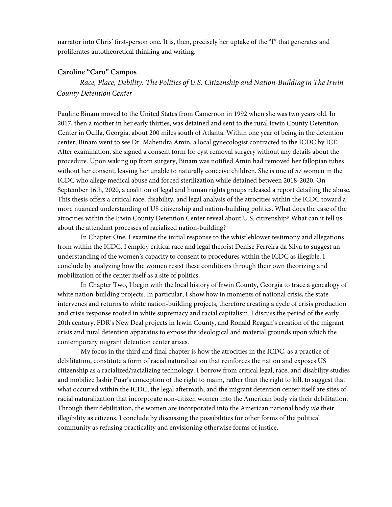narrator into Chris' first-person one. It is, then, precisely her uptake of the "I" that generates and proliferates autotheoretical thinking and writing.

## **Caroline "Caro" Campos**

*Race, Place, Debility: The Politics of U.S. Citizenship and Nation-Building in The Irwin County Detention Center* 

Pauline Binam moved to the United States from Cameroon in 1992 when she was two years old. In 2017, then a mother in her early thirties, was detained and sent to the rural Irwin County Detention Center in Ocilla, Georgia, about 200 miles south of Atlanta. Within one year of being in the detention center, Binam went to see Dr. Mahendra Amin, a local gynecologist contracted to the ICDC by ICE. After examination, she signed a consent form for cyst removal surgery without any details about the procedure. Upon waking up from surgery, Binam was notified Amin had removed her fallopian tubes without her consent, leaving her unable to naturally conceive children. She is one of 57 women in the ICDC who allege medical abuse and forced sterilization while detained between 2018-2020. On September 16th, 2020, a coalition of legal and human rights groups released a report detailing the abuse. This thesis offers a critical race, disability, and legal analysis of the atrocities within the ICDC toward a more nuanced understanding of US citizenship and nation-building politics. What does the case of the atrocities within the Irwin County Detention Center reveal about U.S. citizenship? What can it tell us about the attendant processes of racialized nation-building?

In Chapter One, I examine the initial response to the whistleblower testimony and allegations from within the ICDC. I employ critical race and legal theorist Denise Ferreira da Silva to suggest an understanding of the women's capacity to consent to procedures within the ICDC as illegible. I conclude by analyzing how the women resist these conditions through their own theorizing and mobilization of the center itself as a site of politics.

In Chapter Two, I begin with the local history of Irwin County, Georgia to trace a genealogy of white nation-building projects. In particular, I show how in moments of national crisis, the state intervenes and returns to white nation-building projects, therefore creating a cycle of crisis production and crisis response rooted in white supremacy and racial capitalism. I discuss the period of the early 20th century, FDR's New Deal projects in Irwin County, and Ronald Reagan's creation of the migrant crisis and rural detention apparatus to expose the ideological and material grounds upon which the contemporary migrant detention center arises.

My focus in the third and final chapter is how the atrocities in the ICDC, as a practice of debilitation, constitute a form of racial naturalization that reinforces the nation and exposes US citizenship as a racialized/racializing technology. I borrow from critical legal, race, and disability studies and mobilize Jasbir Puar's conception of the right to maim, rather than the right to kill, to suggest that what occurred within the ICDC, the legal aftermath, and the migrant detention center itself are sites of racial naturalization that incorporate non-citizen women into the American body via their debilitation. Through their debilitation, the women are incorporated into the American national body *via* their illegibility as citizens. I conclude by discussing the possibilities for other forms of the political community as refusing practicality and envisioning otherwise forms of justice.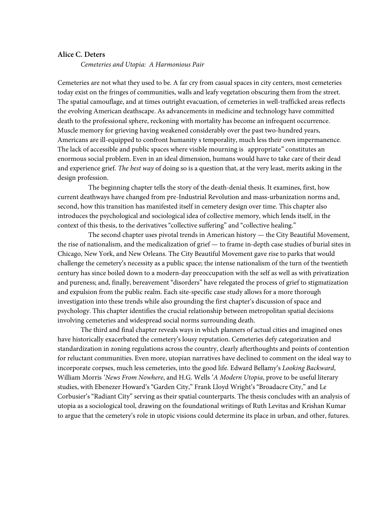### **Alice C. Deters**

*Cemeteries and Utopia: A Harmonious Pair*

Cemeteries are not what they used to be. A far cry from casual spaces in city centers, most cemeteries today exist on the fringes of communities, walls and leafy vegetation obscuring them from the street. The spatial camouflage, and at times outright evacuation, of cemeteries in well-trafficked areas reflects the evolving American deathscape. As advancements in medicine and technology have committed death to the professional sphere, reckoning with mortality has become an infrequent occurrence. Muscle memory for grieving having weakened considerably over the past two-hundred years, Americans are ill-equipped to confront humanity s temporality, much less their own impermanence. The lack of accessible and public spaces where visible mourning is appropriate" constitutes an enormous social problem. Even in an ideal dimension, humans would have to take care of their dead and experience grief. *The best way* of doing so is a question that, at the very least, merits asking in the design profession.

The beginning chapter tells the story of the death-denial thesis. It examines, first, how current deathways have changed from pre-Industrial Revolution and mass-urbanization norms and, second, how this transition has manifested itself in cemetery design over time. This chapter also introduces the psychological and sociological idea of collective memory, which lends itself, in the context of this thesis, to the derivatives "collective suffering" and "collective healing."

The second chapter uses pivotal trends in American history — the City Beautiful Movement, the rise of nationalism, and the medicalization of grief — to frame in-depth case studies of burial sites in Chicago, New York, and New Orleans. The City Beautiful Movement gave rise to parks that would challenge the cemetery's necessity as a public space; the intense nationalism of the turn of the twentieth century has since boiled down to a modern-day preoccupation with the self as well as with privatization and pureness; and, finally, bereavement "disorders" have relegated the process of grief to stigmatization and expulsion from the public realm. Each site-specific case study allows for a more thorough investigation into these trends while also grounding the first chapter's discussion of space and psychology. This chapter identifies the crucial relationship between metropolitan spatial decisions involving cemeteries and widespread social norms surrounding death.

The third and final chapter reveals ways in which planners of actual cities and imagined ones have historically exacerbated the cemetery's lousy reputation. Cemeteries defy categorization and standardization in zoning regulations across the country, clearly afterthoughts and points of contention for reluctant communities. Even more, utopian narratives have declined to comment on the ideal way to incorporate corpses, much less cemeteries, into the good life. Edward Bellamy's *Looking Backward*, William Morris '*News From Nowhere*, and H.G. Wells '*A Modern Utopia*, prove to be useful literary studies, with Ebenezer Howard's "Garden City," Frank Lloyd Wright's "Broadacre City," and Le Corbusier's "Radiant City" serving as their spatial counterparts. The thesis concludes with an analysis of utopia as a sociological tool, drawing on the foundational writings of Ruth Levitas and Krishan Kumar to argue that the cemetery's role in utopic visions could determine its place in urban, and other, futures.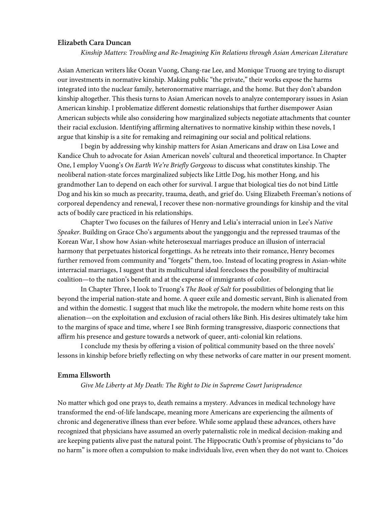## **Elizabeth Cara Duncan**

*Kinship Matters: Troubling and Re-Imagining Kin Relations through Asian American Literature*

Asian American writers like Ocean Vuong, Chang-rae Lee, and Monique Truong are trying to disrupt our investments in normative kinship. Making public "the private," their works expose the harms integrated into the nuclear family, heteronormative marriage, and the home. But they don't abandon kinship altogether. This thesis turns to Asian American novels to analyze contemporary issues in Asian American kinship. I problematize different domestic relationships that further disempower Asian American subjects while also considering how marginalized subjects negotiate attachments that counter their racial exclusion. Identifying affirming alternatives to normative kinship within these novels, I argue that kinship is a site for remaking and reimagining our social and political relations.

I begin by addressing why kinship matters for Asian Americans and draw on Lisa Lowe and Kandice Chuh to advocate for Asian American novels' cultural and theoretical importance. In Chapter One, I employ Vuong's *On Earth We're Briefly Gorgeous* to discuss what constitutes kinship. The neoliberal nation-state forces marginalized subjects like Little Dog, his mother Hong, and his grandmother Lan to depend on each other for survival. I argue that biological ties do not bind Little Dog and his kin so much as precarity, trauma, death, and grief do. Using Elizabeth Freeman's notions of corporeal dependency and renewal, I recover these non-normative groundings for kinship and the vital acts of bodily care practiced in his relationships.

Chapter Two focuses on the failures of Henry and Lelia's interracial union in Lee's *Native Speaker*. Building on Grace Cho's arguments about the yanggongju and the repressed traumas of the Korean War, I show how Asian-white heterosexual marriages produce an illusion of interracial harmony that perpetuates historical forgettings. As he retreats into their romance, Henry becomes further removed from community and "forgets" them, too. Instead of locating progress in Asian-white interracial marriages, I suggest that its multicultural ideal forecloses the possibility of multiracial coalition—to the nation's benefit and at the expense of immigrants of color.

In Chapter Three, I look to Truong's *The Book of Salt* for possibilities of belonging that lie beyond the imperial nation-state and home. A queer exile and domestic servant, Binh is alienated from and within the domestic. I suggest that much like the metropole, the modern white home rests on this alienation—on the exploitation and exclusion of racial others like Binh. His desires ultimately take him to the margins of space and time, where I see Binh forming transgressive, diasporic connections that affirm his presence and gesture towards a network of queer, anti-colonial kin relations.

I conclude my thesis by offering a vision of political community based on the three novels' lessons in kinship before briefly reflecting on why these networks of care matter in our present moment.

#### **Emma Ellsworth**

*Give Me Liberty at My Death: The Right to Die in Supreme Court Jurisprudence*

No matter which god one prays to, death remains a mystery. Advances in medical technology have transformed the end-of-life landscape, meaning more Americans are experiencing the ailments of chronic and degenerative illness than ever before. While some applaud these advances, others have recognized that physicians have assumed an overly paternalistic role in medical decision-making and are keeping patients alive past the natural point. The Hippocratic Oath's promise of physicians to "do no harm" is more often a compulsion to make individuals live, even when they do not want to. Choices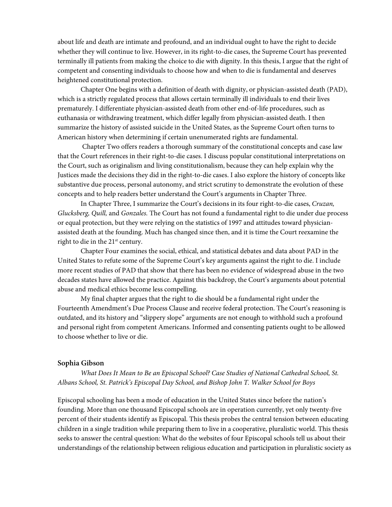about life and death are intimate and profound, and an individual ought to have the right to decide whether they will continue to live. However, in its right-to-die cases, the Supreme Court has prevented terminally ill patients from making the choice to die with dignity. In this thesis, I argue that the right of competent and consenting individuals to choose how and when to die is fundamental and deserves heightened constitutional protection.

Chapter One begins with a definition of death with dignity, or physician-assisted death (PAD), which is a strictly regulated process that allows certain terminally ill individuals to end their lives prematurely. I differentiate physician-assisted death from other end-of-life procedures, such as euthanasia or withdrawing treatment, which differ legally from physician-assisted death. I then summarize the history of assisted suicide in the United States, as the Supreme Court often turns to American history when determining if certain unenumerated rights are fundamental.

 Chapter Two offers readers a thorough summary of the constitutional concepts and case law that the Court references in their right-to-die cases. I discuss popular constitutional interpretations on the Court, such as originalism and living constitutionalism, because they can help explain why the Justices made the decisions they did in the right-to-die cases. I also explore the history of concepts like substantive due process, personal autonomy, and strict scrutiny to demonstrate the evolution of these concepts and to help readers better understand the Court's arguments in Chapter Three.

In Chapter Three, I summarize the Court's decisions in its four right-to-die cases, *Cruzan, Glucksberg, Quill,* and *Gonzales.* The Court has not found a fundamental right to die under due process or equal protection, but they were relying on the statistics of 1997 and attitudes toward physicianassisted death at the founding. Much has changed since then, and it is time the Court reexamine the right to die in the  $21<sup>st</sup>$  century.

Chapter Four examines the social, ethical, and statistical debates and data about PAD in the United States to refute some of the Supreme Court's key arguments against the right to die. I include more recent studies of PAD that show that there has been no evidence of widespread abuse in the two decades states have allowed the practice. Against this backdrop, the Court's arguments about potential abuse and medical ethics become less compelling.

My final chapter argues that the right to die should be a fundamental right under the Fourteenth Amendment's Due Process Clause and receive federal protection. The Court's reasoning is outdated, and its history and "slippery slope" arguments are not enough to withhold such a profound and personal right from competent Americans. Informed and consenting patients ought to be allowed to choose whether to live or die.

## **Sophia Gibson**

*What Does It Mean to Be an Episcopal School? Case Studies of National Cathedral School, St. Albans School, St. Patrick's Episcopal Day School, and Bishop John T. Walker School for Boys*

Episcopal schooling has been a mode of education in the United States since before the nation's founding. More than one thousand Episcopal schools are in operation currently, yet only twenty-five percent of their students identify as Episcopal. This thesis probes the central tension between educating children in a single tradition while preparing them to live in a cooperative, pluralistic world. This thesis seeks to answer the central question: What do the websites of four Episcopal schools tell us about their understandings of the relationship between religious education and participation in pluralistic society as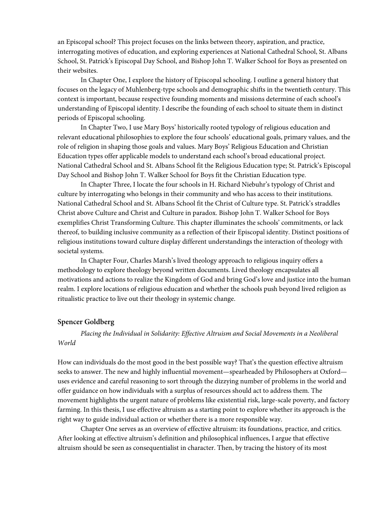an Episcopal school? This project focuses on the links between theory, aspiration, and practice, interrogating motives of education, and exploring experiences at National Cathedral School, St. Albans School, St. Patrick's Episcopal Day School, and Bishop John T. Walker School for Boys as presented on their websites.

In Chapter One, I explore the history of Episcopal schooling. I outline a general history that focuses on the legacy of Muhlenberg-type schools and demographic shifts in the twentieth century. This context is important, because respective founding moments and missions determine of each school's understanding of Episcopal identity. I describe the founding of each school to situate them in distinct periods of Episcopal schooling.

In Chapter Two, I use Mary Boys' historically rooted typology of religious education and relevant educational philosophies to explore the four schools' educational goals, primary values, and the role of religion in shaping those goals and values. Mary Boys' Religious Education and Christian Education types offer applicable models to understand each school's broad educational project. National Cathedral School and St. Albans School fit the Religious Education type; St. Patrick's Episcopal Day School and Bishop John T. Walker School for Boys fit the Christian Education type.

In Chapter Three, I locate the four schools in H. Richard Niebuhr's typology of Christ and culture by interrogating who belongs in their community and who has access to their institutions. National Cathedral School and St. Albans School fit the Christ of Culture type. St. Patrick's straddles Christ above Culture and Christ and Culture in paradox. Bishop John T. Walker School for Boys exemplifies Christ Transforming Culture. This chapter illuminates the schools' commitments, or lack thereof, to building inclusive community as a reflection of their Episcopal identity. Distinct positions of religious institutions toward culture display different understandings the interaction of theology with societal systems.

In Chapter Four, Charles Marsh's lived theology approach to religious inquiry offers a methodology to explore theology beyond written documents. Lived theology encapsulates all motivations and actions to realize the Kingdom of God and bring God's love and justice into the human realm. I explore locations of religious education and whether the schools push beyond lived religion as ritualistic practice to live out their theology in systemic change.

## **Spencer Goldberg**

*Placing the Individual in Solidarity: Effective Altruism and Social Movements in a Neoliberal World*

How can individuals do the most good in the best possible way? That's the question effective altruism seeks to answer. The new and highly influential movement—spearheaded by Philosophers at Oxford uses evidence and careful reasoning to sort through the dizzying number of problems in the world and offer guidance on how individuals with a surplus of resources should act to address them. The movement highlights the urgent nature of problems like existential risk, large-scale poverty, and factory farming. In this thesis, I use effective altruism as a starting point to explore whether its approach is the right way to guide individual action or whether there is a more responsible way.

Chapter One serves as an overview of effective altruism: its foundations, practice, and critics. After looking at effective altruism's definition and philosophical influences, I argue that effective altruism should be seen as consequentialist in character. Then, by tracing the history of its most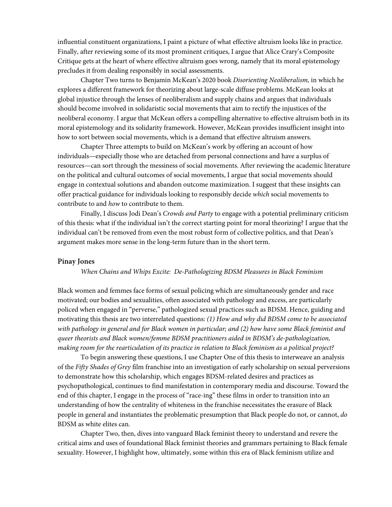influential constituent organizations, I paint a picture of what effective altruism looks like in practice. Finally, after reviewing some of its most prominent critiques, I argue that Alice Crary's Composite Critique gets at the heart of where effective altruism goes wrong, namely that its moral epistemology precludes it from dealing responsibly in social assessments.

Chapter Two turns to Benjamin McKean's 2020 book *Disorienting Neoliberalism,* in which he explores a different framework for theorizing about large-scale diffuse problems. McKean looks at global injustice through the lenses of neoliberalism and supply chains and argues that individuals should become involved in solidaristic social movements that aim to rectify the injustices of the neoliberal economy. I argue that McKean offers a compelling alternative to effective altruism both in its moral epistemology and its solidarity framework. However, McKean provides insufficient insight into how to sort between social movements, which is a demand that effective altruism answers.

Chapter Three attempts to build on McKean's work by offering an account of how individuals—especially those who are detached from personal connections and have a surplus of resources—can sort through the messiness of social movements. After reviewing the academic literature on the political and cultural outcomes of social movements, I argue that social movements should engage in contextual solutions and abandon outcome maximization. I suggest that these insights can offer practical guidance for individuals looking to responsibly decide *which* social movements to contribute to and *how* to contribute to them.

Finally, I discuss Jodi Dean's *Crowds and Party* to engage with a potential preliminary criticism of this thesis: what if the individual isn't the correct starting point for moral theorizing? I argue that the individual can't be removed from even the most robust form of collective politics, and that Dean's argument makes more sense in the long-term future than in the short term.

#### **Pinay Jones**

*When Chains and Whips Excite: De-Pathologizing BDSM Pleasures in Black Feminism* 

Black women and femmes face forms of sexual policing which are simultaneously gender and race motivated; our bodies and sexualities, often associated with pathology and excess, are particularly policed when engaged in "perverse," pathologized sexual practices such as BDSM. Hence, guiding and motivating this thesis are two interrelated questions: *(1) How and why did BDSM come to be associated with pathology in general and for Black women in particular; and (2) how have some Black feminist and queer theorists and Black women/femme BDSM practitioners aided in BDSM's de-pathologization, making room for the rearticulation of its practice in relation to Black feminism as a political project?* 

To begin answering these questions, I use Chapter One of this thesis to interweave an analysis of the *Fifty Shades of Grey* film franchise into an investigation of early scholarship on sexual perversions to demonstrate how this scholarship, which engages BDSM-related desires and practices as psychopathological, continues to find manifestation in contemporary media and discourse. Toward the end of this chapter, I engage in the process of "race-ing" these films in order to transition into an understanding of how the centrality of whiteness in the franchise necessitates the erasure of Black people in general and instantiates the problematic presumption that Black people do not, or cannot, *do*  BDSM as white elites can.

Chapter Two, then, dives into vanguard Black feminist theory to understand and revere the critical aims and uses of foundational Black feminist theories and grammars pertaining to Black female sexuality. However, I highlight how, ultimately, some within this era of Black feminism utilize and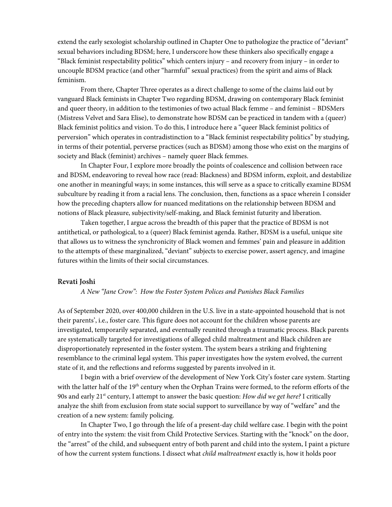extend the early sexologist scholarship outlined in Chapter One to pathologize the practice of "deviant" sexual behaviors including BDSM; here, I underscore how these thinkers also specifically engage a "Black feminist respectability politics" which centers injury – and recovery from injury – in order to uncouple BDSM practice (and other "harmful" sexual practices) from the spirit and aims of Black feminism.

From there, Chapter Three operates as a direct challenge to some of the claims laid out by vanguard Black feminists in Chapter Two regarding BDSM, drawing on contemporary Black feminist and queer theory, in addition to the testimonies of two actual Black femme – and feminist – BDSMers (Mistress Velvet and Sara Elise), to demonstrate how BDSM can be practiced in tandem with a (queer) Black feminist politics and vision. To do this, I introduce here a "queer Black feminist politics of perversion" which operates in contradistinction to a "Black feminist respectability politics" by studying, in terms of their potential, perverse practices (such as BDSM) among those who exist on the margins of society and Black (feminist) archives – namely queer Black femmes.

In Chapter Four, I explore more broadly the points of coalescence and collision between race and BDSM, endeavoring to reveal how race (read: Blackness) and BDSM inform, exploit, and destabilize one another in meaningful ways; in some instances, this will serve as a space to critically examine BDSM subculture by reading it from a racial lens. The conclusion, then, functions as a space wherein I consider how the preceding chapters allow for nuanced meditations on the relationship between BDSM and notions of Black pleasure, subjectivity/self-making, and Black feminist futurity and liberation.

Taken together, I argue across the breadth of this paper that the practice of BDSM is not antithetical, or pathological, to a (queer) Black feminist agenda. Rather, BDSM is a useful, unique site that allows us to witness the synchronicity of Black women and femmes' pain and pleasure in addition to the attempts of these marginalized, "deviant" subjects to exercise power, assert agency, and imagine futures within the limits of their social circumstances.

#### **Revati Joshi**

#### *A New "Jane Crow": How the Foster System Polices and Punishes Black Families*

As of September 2020, over 400,000 children in the U.S. live in a state-appointed household that is not their parents', i.e., foster care. This figure does not account for the children whose parents are investigated, temporarily separated, and eventually reunited through a traumatic process. Black parents are systematically targeted for investigations of alleged child maltreatment and Black children are disproportionately represented in the foster system. The system bears a striking and frightening resemblance to the criminal legal system. This paper investigates how the system evolved, the current state of it, and the reflections and reforms suggested by parents involved in it.

I begin with a brief overview of the development of New York City's foster care system. Starting with the latter half of the  $19<sup>th</sup>$  century when the Orphan Trains were formed, to the reform efforts of the 90s and early 21st century, I attempt to answer the basic question: *How did we get here?* I critically analyze the shift from exclusion from state social support to surveillance by way of "welfare" and the creation of a new system: family policing.

In Chapter Two, I go through the life of a present-day child welfare case. I begin with the point of entry into the system: the visit from Child Protective Services. Starting with the "knock" on the door, the "arrest" of the child, and subsequent entry of both parent and child into the system, I paint a picture of how the current system functions. I dissect what *child maltreatment* exactly is, how it holds poor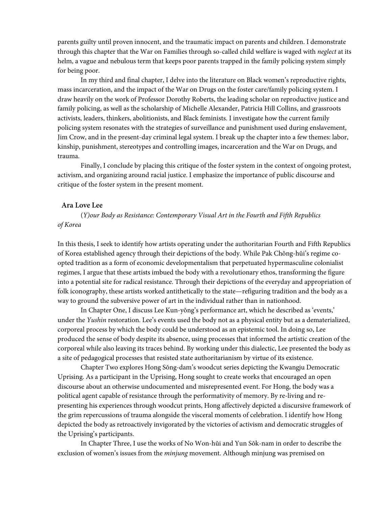parents guilty until proven innocent, and the traumatic impact on parents and children. I demonstrate through this chapter that the War on Families through so-called child welfare is waged with *neglect* at its helm, a vague and nebulous term that keeps poor parents trapped in the family policing system simply for being poor.

In my third and final chapter, I delve into the literature on Black women's reproductive rights, mass incarceration, and the impact of the War on Drugs on the foster care/family policing system. I draw heavily on the work of Professor Dorothy Roberts, the leading scholar on reproductive justice and family policing, as well as the scholarship of Michelle Alexander, Patricia Hill Collins, and grassroots activists, leaders, thinkers, abolitionists, and Black feminists. I investigate how the current family policing system resonates with the strategies of surveillance and punishment used during enslavement, Jim Crow, and in the present-day criminal legal system. I break up the chapter into a few themes: labor, kinship, punishment, stereotypes and controlling images, incarceration and the War on Drugs, and trauma.

Finally, I conclude by placing this critique of the foster system in the context of ongoing protest, activism, and organizing around racial justice. I emphasize the importance of public discourse and critique of the foster system in the present moment.

### **Ara Love Lee**

(*Y)our Body as Resistance: Contemporary Visual Art in the Fourth and Fifth Republics of Korea*

In this thesis, I seek to identify how artists operating under the authoritarian Fourth and Fifth Republics of Korea established agency through their depictions of the body. While Pak Chŏng-hŭi's regime coopted tradition as a form of economic developmentalism that perpetuated hypermasculine colonialist regimes, I argue that these artists imbued the body with a revolutionary ethos, transforming the figure into a potential site for radical resistance. Through their depictions of the everyday and appropriation of folk iconography, these artists worked antithetically to the state—refiguring tradition and the body as a way to ground the subversive power of art in the individual rather than in nationhood.

In Chapter One, I discuss Lee Kun-yŏng's performance art, which he described as 'events,' under the *Yushin* restoration. Lee's events used the body not as a physical entity but as a dematerialized, corporeal process by which the body could be understood as an epistemic tool. In doing so, Lee produced the sense of body despite its absence, using processes that informed the artistic creation of the corporeal while also leaving its traces behind. By working under this dialectic, Lee presented the body as a site of pedagogical processes that resisted state authoritarianism by virtue of its existence.

Chapter Two explores Hong Sŏng-dam's woodcut series depicting the Kwangju Democratic Uprising. As a participant in the Uprising, Hong sought to create works that encouraged an open discourse about an otherwise undocumented and misrepresented event. For Hong, the body was a political agent capable of resistance through the performativity of memory. By re-living and representing his experiences through woodcut prints, Hong affectively depicted a discursive framework of the grim repercussions of trauma alongside the visceral moments of celebration. I identify how Hong depicted the body as retroactively invigorated by the victories of activism and democratic struggles of the Uprising's participants.

In Chapter Three, I use the works of No Won-hŭi and Yun Sŏk-nam in order to describe the exclusion of women's issues from the *minjung* movement. Although minjung was premised on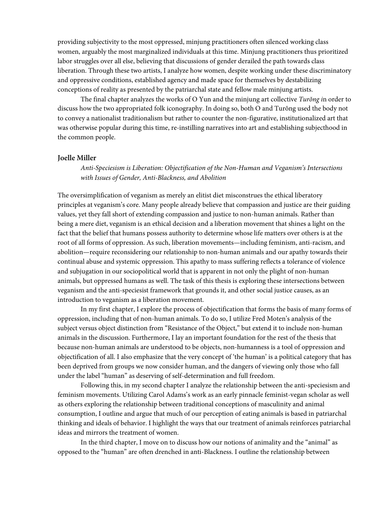providing subjectivity to the most oppressed, minjung practitioners often silenced working class women, arguably the most marginalized individuals at this time. Minjung practitioners thus prioritized labor struggles over all else, believing that discussions of gender derailed the path towards class liberation. Through these two artists, I analyze how women, despite working under these discriminatory and oppressive conditions, established agency and made space for themselves by destabilizing conceptions of reality as presented by the patriarchal state and fellow male minjung artists.

The final chapter analyzes the works of O Yun and the minjung art collective *Turŏng i*n order to discuss how the two appropriated folk iconography. In doing so, both O and Turŏng used the body not to convey a nationalist traditionalism but rather to counter the non-figurative, institutionalized art that was otherwise popular during this time, re-instilling narratives into art and establishing subjecthood in the common people.

### **Joelle Miller**

*Anti-Speciesism is Liberation: Objectification of the Non-Human and Veganism's Intersections with Issues of Gender, Anti-Blackness, and Abolition*

The oversimplification of veganism as merely an elitist diet misconstrues the ethical liberatory principles at veganism's core. Many people already believe that compassion and justice are their guiding values, yet they fall short of extending compassion and justice to non-human animals. Rather than being a mere diet, veganism is an ethical decision and a liberation movement that shines a light on the fact that the belief that humans possess authority to determine whose life matters over others is at the root of all forms of oppression. As such, liberation movements—including feminism, anti-racism, and abolition—require reconsidering our relationship to non-human animals and our apathy towards their continual abuse and systemic oppression. This apathy to mass suffering reflects a tolerance of violence and subjugation in our sociopolitical world that is apparent in not only the plight of non-human animals, but oppressed humans as well. The task of this thesis is exploring these intersections between veganism and the anti-speciesist framework that grounds it, and other social justice causes, as an introduction to veganism as a liberation movement.

In my first chapter, I explore the process of objectification that forms the basis of many forms of oppression, including that of non-human animals. To do so, I utilize Fred Moten's analysis of the subject versus object distinction from "Resistance of the Object," but extend it to include non-human animals in the discussion. Furthermore, I lay an important foundation for the rest of the thesis that because non-human animals are understood to be objects, non-humanness is a tool of oppression and objectification of all. I also emphasize that the very concept of 'the human' is a political category that has been deprived from groups we now consider human, and the dangers of viewing only those who fall under the label "human" as deserving of self-determination and full freedom.

Following this, in my second chapter I analyze the relationship between the anti-speciesism and feminism movements. Utilizing Carol Adams's work as an early pinnacle feminist-vegan scholar as well as others exploring the relationship between traditional conceptions of masculinity and animal consumption, I outline and argue that much of our perception of eating animals is based in patriarchal thinking and ideals of behavior. I highlight the ways that our treatment of animals reinforces patriarchal ideas and mirrors the treatment of women.

In the third chapter, I move on to discuss how our notions of animality and the "animal" as opposed to the "human" are often drenched in anti-Blackness. I outline the relationship between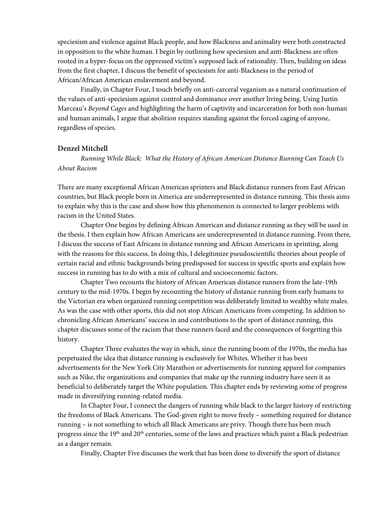speciesism and violence against Black people, and how Blackness and animality were both constructed in opposition to the white human. I begin by outlining how speciesism and anti-Blackness are often rooted in a hyper-focus on the oppressed victim's supposed lack of rationality. Then, building on ideas from the first chapter, I discuss the benefit of speciesism for anti-Blackness in the period of African/African American enslavement and beyond.

Finally, in Chapter Four, I touch briefly on anti-carceral veganism as a natural continuation of the values of anti-speciesism against control and dominance over another living being. Using Justin Marceau's *Beyond Cages* and highlighting the harm of captivity and incarceration for both non-human and human animals, I argue that abolition requires standing against the forced caging of anyone, regardless of species.

## **Denzel Mitchell**

*Running While Black: What the History of African American Distance Running Can Teach Us About Racism*

There are many exceptional African American sprinters and Black distance runners from East African countries, but Black people born in America are underrepresented in distance running. This thesis aims to explain why this is the case and show how this phenomenon is connected to larger problems with racism in the United States.

 Chapter One begins by defining African American and distance running as they will be used in the thesis. I then explain how African Americans are underrepresented in distance running. From there, I discuss the success of East Africans in distance running and African Americans in sprinting, along with the reasons for this success. In doing this, I delegitimize pseudoscientific theories about people of certain racial and ethnic backgrounds being predisposed for success in specific sports and explain how success in running has to do with a mix of cultural and socioeconomic factors.

 Chapter Two recounts the history of African American distance runners from the late-19th century to the mid-1970s. I begin by recounting the history of distance running from early humans to the Victorian era when organized running competition was deliberately limited to wealthy white males. As was the case with other sports, this did not stop African Americans from competing. In addition to chronicling African Americans' success in and contributions to the sport of distance running, this chapter discusses some of the racism that these runners faced and the consequences of forgetting this history.

 Chapter Three evaluates the way in which, since the running boom of the 1970s, the media has perpetuated the idea that distance running is exclusively for Whites. Whether it has been advertisements for the New York City Marathon or advertisements for running apparel for companies such as Nike, the organizations and companies that make up the running industry have seen it as beneficial to deliberately target the White population. This chapter ends by reviewing some of progress made in diversifying running-related media.

 In Chapter Four, I connect the dangers of running while black to the larger history of restricting the freedoms of Black Americans. The God-given right to move freely – something required for distance running – is not something to which all Black Americans are privy. Though there has been much progress since the 19<sup>th</sup> and 20<sup>th</sup> centuries, some of the laws and practices which paint a Black pedestrian as a danger remain.

Finally, Chapter Five discusses the work that has been done to diversify the sport of distance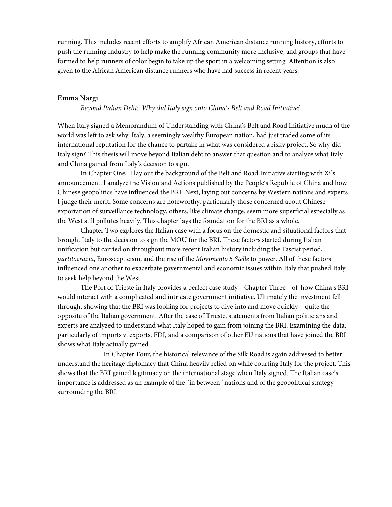running. This includes recent efforts to amplify African American distance running history, efforts to push the running industry to help make the running community more inclusive, and groups that have formed to help runners of color begin to take up the sport in a welcoming setting. Attention is also given to the African American distance runners who have had success in recent years.

#### **Emma Nargi**

#### *Beyond Italian Debt: Why did Italy sign onto China's Belt and Road Initiative?*

When Italy signed a Memorandum of Understanding with China's Belt and Road Initiative much of the world was left to ask why. Italy, a seemingly wealthy European nation, had just traded some of its international reputation for the chance to partake in what was considered a risky project. So why did Italy sign? This thesis will move beyond Italian debt to answer that question and to analyze what Italy and China gained from Italy's decision to sign.

In Chapter One, I lay out the background of the Belt and Road Initiative starting with Xi's announcement. I analyze the Vision and Actions published by the People's Republic of China and how Chinese geopolitics have influenced the BRI. Next, laying out concerns by Western nations and experts I judge their merit. Some concerns are noteworthy, particularly those concerned about Chinese exportation of surveillance technology, others, like climate change, seem more superficial especially as the West still pollutes heavily. This chapter lays the foundation for the BRI as a whole.

Chapter Two explores the Italian case with a focus on the domestic and situational factors that brought Italy to the decision to sign the MOU for the BRI. These factors started during Italian unification but carried on throughout more recent Italian history including the Fascist period, *partitocrazia*, Euroscepticism, and the rise of the *Movimento 5 Stelle* to power. All of these factors influenced one another to exacerbate governmental and economic issues within Italy that pushed Italy to seek help beyond the West.

The Port of Trieste in Italy provides a perfect case study—Chapter Three—of how China's BRI would interact with a complicated and intricate government initiative. Ultimately the investment fell through, showing that the BRI was looking for projects to dive into and move quickly – quite the opposite of the Italian government. After the case of Trieste, statements from Italian politicians and experts are analyzed to understand what Italy hoped to gain from joining the BRI. Examining the data, particularly of imports v. exports, FDI, and a comparison of other EU nations that have joined the BRI shows what Italy actually gained.

In Chapter Four, the historical relevance of the Silk Road is again addressed to better understand the heritage diplomacy that China heavily relied on while courting Italy for the project. This shows that the BRI gained legitimacy on the international stage when Italy signed. The Italian case's importance is addressed as an example of the "in between" nations and of the geopolitical strategy surrounding the BRI.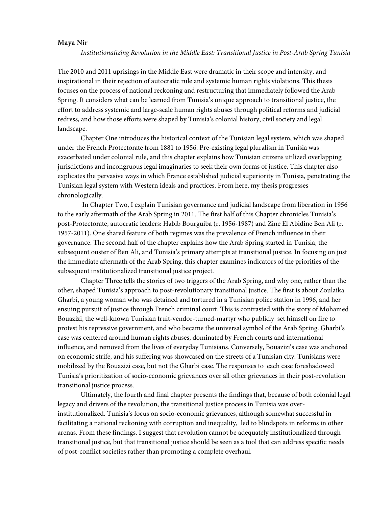## **Maya Nir**

*Institutionalizing Revolution in the Middle East: Transitional Justice in Post-Arab Spring Tunisia* 

The 2010 and 2011 uprisings in the Middle East were dramatic in their scope and intensity, and inspirational in their rejection of autocratic rule and systemic human rights violations. This thesis focuses on the process of national reckoning and restructuring that immediately followed the Arab Spring. It considers what can be learned from Tunisia's unique approach to transitional justice, the effort to address systemic and large-scale human rights abuses through political reforms and judicial redress, and how those efforts were shaped by Tunisia's colonial history, civil society and legal landscape.

Chapter One introduces the historical context of the Tunisian legal system, which was shaped under the French Protectorate from 1881 to 1956. Pre-existing legal pluralism in Tunisia was exacerbated under colonial rule, and this chapter explains how Tunisian citizens utilized overlapping jurisdictions and incongruous legal imaginaries to seek their own forms of justice. This chapter also explicates the pervasive ways in which France established judicial superiority in Tunisia, penetrating the Tunisian legal system with Western ideals and practices. From here, my thesis progresses chronologically.

In Chapter Two, I explain Tunisian governance and judicial landscape from liberation in 1956 to the early aftermath of the Arab Spring in 2011. The first half of this Chapter chronicles Tunisia's post-Protectorate, autocratic leaders: Habib Bourguiba (r. 1956-1987) and Zine El Abidine Ben Ali (r. 1957-2011). One shared feature of both regimes was the prevalence of French influence in their governance. The second half of the chapter explains how the Arab Spring started in Tunisia, the subsequent ouster of Ben Ali, and Tunisia's primary attempts at transitional justice. In focusing on just the immediate aftermath of the Arab Spring, this chapter examines indicators of the priorities of the subsequent institutionalized transitional justice project.

Chapter Three tells the stories of two triggers of the Arab Spring, and why one, rather than the other, shaped Tunisia's approach to post-revolutionary transitional justice. The first is about Zoulaika Gharbi, a young woman who was detained and tortured in a Tunisian police station in 1996, and her ensuing pursuit of justice through French criminal court. This is contrasted with the story of Mohamed Bouazizi, the well-known Tunisian fruit-vendor-turned-martyr who publicly set himself on fire to protest his repressive government, and who became the universal symbol of the Arab Spring. Gharbi's case was centered around human rights abuses, dominated by French courts and international influence, and removed from the lives of everyday Tunisians. Conversely, Bouazizi's case was anchored on economic strife, and his suffering was showcased on the streets of a Tunisian city. Tunisians were mobilized by the Bouazizi case, but not the Gharbi case. The responses to each case foreshadowed Tunisia's prioritization of socio-economic grievances over all other grievances in their post-revolution transitional justice process.

Ultimately, the fourth and final chapter presents the findings that, because of both colonial legal legacy and drivers of the revolution, the transitional justice process in Tunisia was overinstitutionalized. Tunisia's focus on socio-economic grievances, although somewhat successful in facilitating a national reckoning with corruption and inequality, led to blindspots in reforms in other arenas. From these findings, I suggest that revolution cannot be adequately institutionalized through transitional justice, but that transitional justice should be seen as a tool that can address specific needs of post-conflict societies rather than promoting a complete overhaul.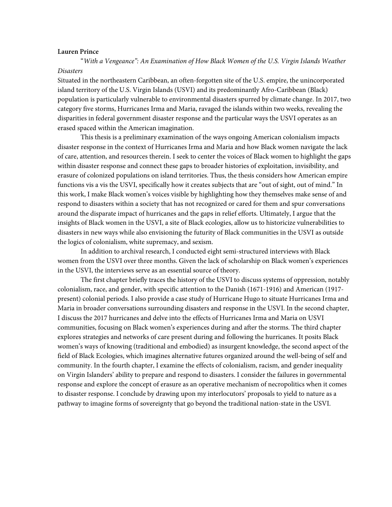#### **Lauren Prince**

 "*With a Vengeance": An Examination of How Black Women of the U.S. Virgin Islands Weather Disasters*

Situated in the northeastern Caribbean, an often-forgotten site of the U.S. empire, the unincorporated island territory of the U.S. Virgin Islands (USVI) and its predominantly Afro-Caribbean (Black) population is particularly vulnerable to environmental disasters spurred by climate change. In 2017, two category five storms, Hurricanes Irma and Maria, ravaged the islands within two weeks, revealing the disparities in federal government disaster response and the particular ways the USVI operates as an erased spaced within the American imagination.

This thesis is a preliminary examination of the ways ongoing American colonialism impacts disaster response in the context of Hurricanes Irma and Maria and how Black women navigate the lack of care, attention, and resources therein. I seek to center the voices of Black women to highlight the gaps within disaster response and connect these gaps to broader histories of exploitation, invisibility, and erasure of colonized populations on island territories. Thus, the thesis considers how American empire functions vis a vis the USVI, specifically how it creates subjects that are "out of sight, out of mind." In this work, I make Black women's voices visible by highlighting how they themselves make sense of and respond to disasters within a society that has not recognized or cared for them and spur conversations around the disparate impact of hurricanes and the gaps in relief efforts. Ultimately, I argue that the insights of Black women in the USVI, a site of Black ecologies, allow us to historicize vulnerabilities to disasters in new ways while also envisioning the futurity of Black communities in the USVI as outside the logics of colonialism, white supremacy, and sexism.

In addition to archival research, I conducted eight semi-structured interviews with Black women from the USVI over three months. Given the lack of scholarship on Black women's experiences in the USVI, the interviews serve as an essential source of theory.

The first chapter briefly traces the history of the USVI to discuss systems of oppression, notably colonialism, race, and gender, with specific attention to the Danish (1671-1916) and American (1917 present) colonial periods. I also provide a case study of Hurricane Hugo to situate Hurricanes Irma and Maria in broader conversations surrounding disasters and response in the USVI. In the second chapter, I discuss the 2017 hurricanes and delve into the effects of Hurricanes Irma and Maria on USVI communities, focusing on Black women's experiences during and after the storms. The third chapter explores strategies and networks of care present during and following the hurricanes. It posits Black women's ways of knowing (traditional and embodied) as insurgent knowledge, the second aspect of the field of Black Ecologies, which imagines alternative futures organized around the well-being of self and community. In the fourth chapter, I examine the effects of colonialism, racism, and gender inequality on Virgin Islanders' ability to prepare and respond to disasters. I consider the failures in governmental response and explore the concept of erasure as an operative mechanism of necropolitics when it comes to disaster response. I conclude by drawing upon my interlocutors' proposals to yield to nature as a pathway to imagine forms of sovereignty that go beyond the traditional nation-state in the USVI.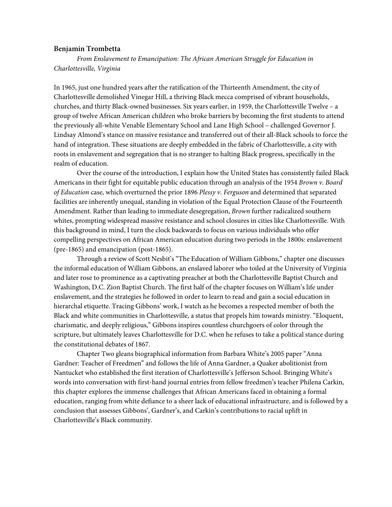#### **Benjamin Trombetta**

*From Enslavement to Emancipation: The African American Struggle for Education in Charlottesville, Virginia*

In 1965, just one hundred years after the ratification of the Thirteenth Amendment, the city of Charlottesville demolished Vinegar Hill, a thriving Black mecca comprised of vibrant households, churches, and thirty Black-owned businesses. Six years earlier, in 1959, the Charlottesville Twelve – a group of twelve African American children who broke barriers by becoming the first students to attend the previously all-white Venable Elementary School and Lane High School – challenged Governor J. Lindsay Almond's stance on massive resistance and transferred out of their all-Black schools to force the hand of integration. These situations are deeply embedded in the fabric of Charlottesville, a city with roots in enslavement and segregation that is no stranger to halting Black progress, specifically in the realm of education.

Over the course of the introduction, I explain how the United States has consistently failed Black Americans in their fight for equitable public education through an analysis of the 1954 *Brown v. Board of Education* case, which overturned the prior 1896 *Plessy v. Ferguson* and determined that separated facilities are inherently unequal, standing in violation of the Equal Protection Clause of the Fourteenth Amendment. Rather than leading to immediate desegregation, *Brown* further radicalized southern whites, prompting widespread massive resistance and school closures in cities like Charlottesville. With this background in mind, I turn the clock backwards to focus on various individuals who offer compelling perspectives on African American education during two periods in the 1800s: enslavement (pre-1865) and emancipation (post-1865).

Through a review of Scott Nesbit's "The Education of William Gibbons," chapter one discusses the informal education of William Gibbons, an enslaved laborer who toiled at the University of Virginia and later rose to prominence as a captivating preacher at both the Charlottesville Baptist Church and Washington, D.C. Zion Baptist Church. The first half of the chapter focuses on William's life under enslavement, and the strategies he followed in order to learn to read and gain a social education in hierarchal etiquette. Tracing Gibbons' work, I watch as he becomes a respected member of both the Black and white communities in Charlottesville, a status that propels him towards ministry. "Eloquent, charismatic, and deeply religious," Gibbons inspires countless churchgoers of color through the scripture, but ultimately leaves Charlottesville for D.C. when he refuses to take a political stance during the constitutional debates of 1867.

Chapter Two gleans biographical information from Barbara White's 2005 paper "Anna Gardner: Teacher of Freedmen" and follows the life of Anna Gardner, a Quaker abolitionist from Nantucket who established the first iteration of Charlottesville's Jefferson School. Bringing White's words into conversation with first-hand journal entries from fellow freedmen's teacher Philena Carkin, this chapter explores the immense challenges that African Americans faced in obtaining a formal education, ranging from white defiance to a sheer lack of educational infrastructure, and is followed by a conclusion that assesses Gibbons', Gardner's, and Carkin's contributions to racial uplift in Charlottesville's Black community.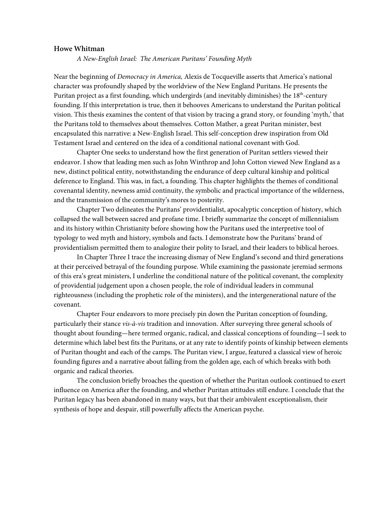### **Howe Whitman**

*A New-English Israel: The American Puritans' Founding Myth*

Near the beginning of *Democracy in America,* Alexis de Tocqueville asserts that America's national character was profoundly shaped by the worldview of the New England Puritans. He presents the Puritan project as a first founding, which undergirds (and inevitably diminishes) the 18<sup>th</sup>-century founding. If this interpretation is true, then it behooves Americans to understand the Puritan political vision. This thesis examines the content of that vision by tracing a grand story, or founding 'myth,' that the Puritans told to themselves about themselves. Cotton Mather, a great Puritan minister, best encapsulated this narrative: a New-English Israel. This self-conception drew inspiration from Old Testament Israel and centered on the idea of a conditional national covenant with God.

Chapter One seeks to understand how the first generation of Puritan settlers viewed their endeavor. I show that leading men such as John Winthrop and John Cotton viewed New England as a new, distinct political entity, notwithstanding the endurance of deep cultural kinship and political deference to England. This was, in fact, a founding. This chapter highlights the themes of conditional covenantal identity, newness amid continuity, the symbolic and practical importance of the wilderness, and the transmission of the community's mores to posterity.

Chapter Two delineates the Puritans' providentialist, apocalyptic conception of history, which collapsed the wall between sacred and profane time. I briefly summarize the concept of millennialism and its history within Christianity before showing how the Puritans used the interpretive tool of typology to wed myth and history, symbols and facts. I demonstrate how the Puritans' brand of providentialism permitted them to analogize their polity to Israel, and their leaders to biblical heroes.

In Chapter Three I trace the increasing dismay of New England's second and third generations at their perceived betrayal of the founding purpose. While examining the passionate jeremiad sermons of this era's great ministers, I underline the conditional nature of the political covenant, the complexity of providential judgement upon a chosen people, the role of individual leaders in communal righteousness (including the prophetic role of the ministers), and the intergenerational nature of the covenant.

Chapter Four endeavors to more precisely pin down the Puritan conception of founding, particularly their stance *vis-à-vis* tradition and innovation. After surveying three general schools of thought about founding—here termed organic, radical, and classical conceptions of founding—I seek to determine which label best fits the Puritans, or at any rate to identify points of kinship between elements of Puritan thought and each of the camps. The Puritan view, I argue, featured a classical view of heroic founding figures and a narrative about falling from the golden age, each of which breaks with both organic and radical theories.

The conclusion briefly broaches the question of whether the Puritan outlook continued to exert influence on America after the founding, and whether Puritan attitudes still endure. I conclude that the Puritan legacy has been abandoned in many ways, but that their ambivalent exceptionalism, their synthesis of hope and despair, still powerfully affects the American psyche.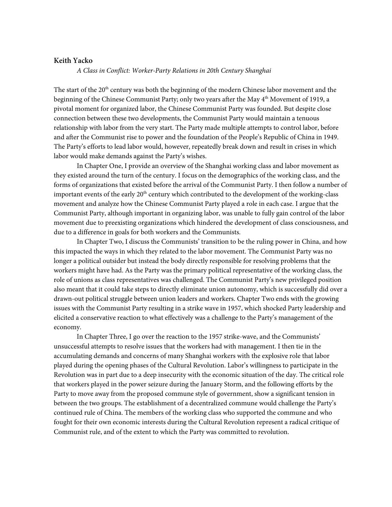## **Keith Yacko**

*A Class in Conflict: Worker-Party Relations in 20th Century Shanghai*

The start of the 20<sup>th</sup> century was both the beginning of the modern Chinese labor movement and the beginning of the Chinese Communist Party; only two years after the May 4<sup>th</sup> Movement of 1919, a pivotal moment for organized labor, the Chinese Communist Party was founded. But despite close connection between these two developments, the Communist Party would maintain a tenuous relationship with labor from the very start. The Party made multiple attempts to control labor, before and after the Communist rise to power and the foundation of the People's Republic of China in 1949. The Party's efforts to lead labor would, however, repeatedly break down and result in crises in which labor would make demands against the Party's wishes.

In Chapter One, I provide an overview of the Shanghai working class and labor movement as they existed around the turn of the century. I focus on the demographics of the working class, and the forms of organizations that existed before the arrival of the Communist Party. I then follow a number of important events of the early  $20<sup>th</sup>$  century which contributed to the development of the working-class movement and analyze how the Chinese Communist Party played a role in each case. I argue that the Communist Party, although important in organizing labor, was unable to fully gain control of the labor movement due to preexisting organizations which hindered the development of class consciousness, and due to a difference in goals for both workers and the Communists.

In Chapter Two, I discuss the Communists' transition to be the ruling power in China, and how this impacted the ways in which they related to the labor movement. The Communist Party was no longer a political outsider but instead the body directly responsible for resolving problems that the workers might have had. As the Party was the primary political representative of the working class, the role of unions as class representatives was challenged. The Communist Party's new privileged position also meant that it could take steps to directly eliminate union autonomy, which is successfully did over a drawn-out political struggle between union leaders and workers. Chapter Two ends with the growing issues with the Communist Party resulting in a strike wave in 1957, which shocked Party leadership and elicited a conservative reaction to what effectively was a challenge to the Party's management of the economy.

In Chapter Three, I go over the reaction to the 1957 strike-wave, and the Communists' unsuccessful attempts to resolve issues that the workers had with management. I then tie in the accumulating demands and concerns of many Shanghai workers with the explosive role that labor played during the opening phases of the Cultural Revolution. Labor's willingness to participate in the Revolution was in part due to a deep insecurity with the economic situation of the day. The critical role that workers played in the power seizure during the January Storm, and the following efforts by the Party to move away from the proposed commune style of government, show a significant tension in between the two groups. The establishment of a decentralized commune would challenge the Party's continued rule of China. The members of the working class who supported the commune and who fought for their own economic interests during the Cultural Revolution represent a radical critique of Communist rule, and of the extent to which the Party was committed to revolution.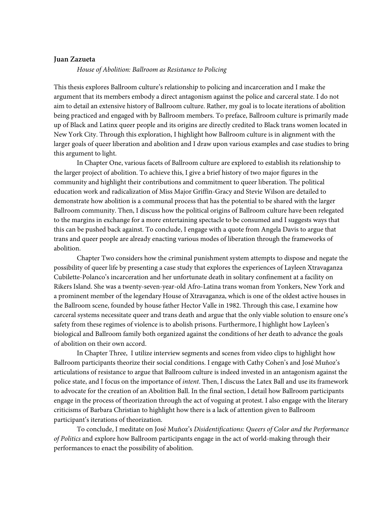# **Juan Zazueta**

#### *House of Abolition: Ballroom as Resistance to Policing*

This thesis explores Ballroom culture's relationship to policing and incarceration and I make the argument that its members embody a direct antagonism against the police and carceral state. I do not aim to detail an extensive history of Ballroom culture. Rather, my goal is to locate iterations of abolition being practiced and engaged with by Ballroom members. To preface, Ballroom culture is primarily made up of Black and Latinx queer people and its origins are directly credited to Black trans women located in New York City. Through this exploration, I highlight how Ballroom culture is in alignment with the larger goals of queer liberation and abolition and I draw upon various examples and case studies to bring this argument to light.

In Chapter One, various facets of Ballroom culture are explored to establish its relationship to the larger project of abolition. To achieve this, I give a brief history of two major figures in the community and highlight their contributions and commitment to queer liberation. The political education work and radicalization of Miss Major Griffin-Gracy and Stevie Wilson are detailed to demonstrate how abolition is a communal process that has the potential to be shared with the larger Ballroom community. Then, I discuss how the political origins of Ballroom culture have been relegated to the margins in exchange for a more entertaining spectacle to be consumed and I suggests ways that this can be pushed back against. To conclude, I engage with a quote from Angela Davis to argue that trans and queer people are already enacting various modes of liberation through the frameworks of abolition.

Chapter Two considers how the criminal punishment system attempts to dispose and negate the possibility of queer life by presenting a case study that explores the experiences of Layleen Xtravaganza Cubilette-Polanco's incarceration and her unfortunate death in solitary confinement at a facility on Rikers Island. She was a twenty-seven-year-old Afro-Latina trans woman from Yonkers, New York and a prominent member of the legendary House of Xtravaganza, which is one of the oldest active houses in the Ballroom scene, founded by house father Hector Valle in 1982. Through this case, I examine how carceral systems necessitate queer and trans death and argue that the only viable solution to ensure one's safety from these regimes of violence is to abolish prisons. Furthermore, I highlight how Layleen's biological and Ballroom family both organized against the conditions of her death to advance the goals of abolition on their own accord.

In Chapter Three, I utilize interview segments and scenes from video clips to highlight how Ballroom participants theorize their social conditions. I engage with Cathy Cohen's and José Muñoz's articulations of resistance to argue that Ballroom culture is indeed invested in an antagonism against the police state, and I focus on the importance of *intent*. Then, I discuss the Latex Ball and use its framework to advocate for the creation of an Abolition Ball. In the final section, I detail how Ballroom participants engage in the process of theorization through the act of voguing at protest. I also engage with the literary criticisms of Barbara Christian to highlight how there is a lack of attention given to Ballroom participant's iterations of theorization.

To conclude, I meditate on José Muñoz's *Disidentifications: Queers of Color and the Performance of Politics* and explore how Ballroom participants engage in the act of world-making through their performances to enact the possibility of abolition.